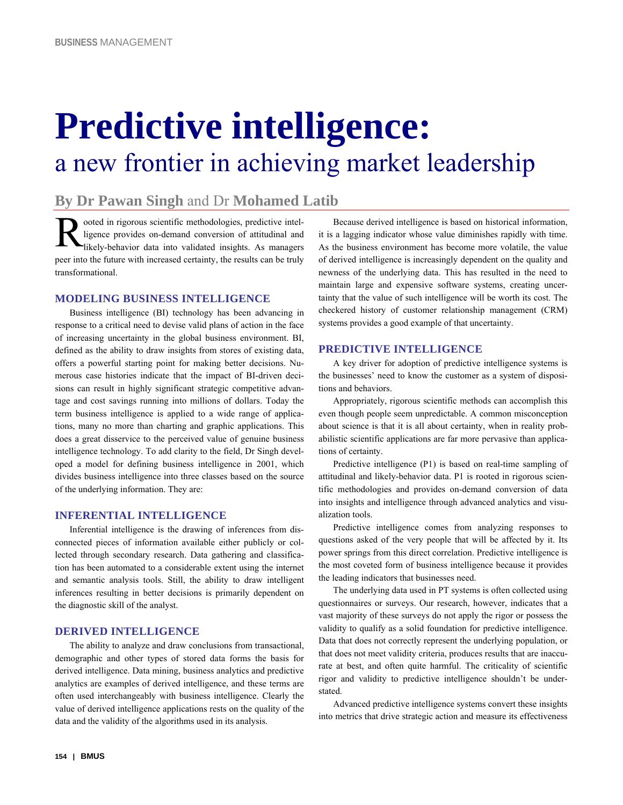# **Predictive intelligence:**  a new frontier in achieving market leadership

## **By Dr Pawan Singh** and Dr **Mohamed Latib**

ooted in rigorous scientific methodologies, predictive intelligence provides on-demand conversion of attitudinal and likely-behavior data into validated insights. As managers peer into the future with increased certainty, the results can be truly transformational. R

#### **MODELING BUSINESS INTELLIGENCE**

Business intelligence (BI) technology has been advancing in response to a critical need to devise valid plans of action in the face of increasing uncertainty in the global business environment. BI, defined as the ability to draw insights from stores of existing data, offers a powerful starting point for making better decisions. Numerous case histories indicate that the impact of BI-driven decisions can result in highly significant strategic competitive advantage and cost savings running into millions of dollars. Today the term business intelligence is applied to a wide range of applications, many no more than charting and graphic applications. This does a great disservice to the perceived value of genuine business intelligence technology. To add clarity to the field, Dr Singh developed a model for defining business intelligence in 2001, which divides business intelligence into three classes based on the source of the underlying information. They are:

#### **INFERENTIAL INTELLIGENCE**

Inferential intelligence is the drawing of inferences from disconnected pieces of information available either publicly or collected through secondary research. Data gathering and classification has been automated to a considerable extent using the internet and semantic analysis tools. Still, the ability to draw intelligent inferences resulting in better decisions is primarily dependent on the diagnostic skill of the analyst.

#### **DERIVED INTELLIGENCE**

The ability to analyze and draw conclusions from transactional, demographic and other types of stored data forms the basis for derived intelligence. Data mining, business analytics and predictive analytics are examples of derived intelligence, and these terms are often used interchangeably with business intelligence. Clearly the value of derived intelligence applications rests on the quality of the data and the validity of the algorithms used in its analysis.

Because derived intelligence is based on historical information, it is a lagging indicator whose value diminishes rapidly with time. As the business environment has become more volatile, the value of derived intelligence is increasingly dependent on the quality and newness of the underlying data. This has resulted in the need to maintain large and expensive software systems, creating uncertainty that the value of such intelligence will be worth its cost. The checkered history of customer relationship management (CRM) systems provides a good example of that uncertainty.

#### **PREDICTIVE INTELLIGENCE**

A key driver for adoption of predictive intelligence systems is the businesses' need to know the customer as a system of dispositions and behaviors.

Appropriately, rigorous scientific methods can accomplish this even though people seem unpredictable. A common misconception about science is that it is all about certainty, when in reality probabilistic scientific applications are far more pervasive than applications of certainty.

Predictive intelligence (P1) is based on real-time sampling of attitudinal and likely-behavior data. P1 is rooted in rigorous scientific methodologies and provides on-demand conversion of data into insights and intelligence through advanced analytics and visualization tools.

Predictive intelligence comes from analyzing responses to questions asked of the very people that will be affected by it. Its power springs from this direct correlation. Predictive intelligence is the most coveted form of business intelligence because it provides the leading indicators that businesses need.

The underlying data used in PT systems is often collected using questionnaires or surveys. Our research, however, indicates that a vast majority of these surveys do not apply the rigor or possess the validity to qualify as a solid foundation for predictive intelligence. Data that does not correctly represent the underlying population, or that does not meet validity criteria, produces results that are inaccurate at best, and often quite harmful. The criticality of scientific rigor and validity to predictive intelligence shouldn't be understated.

Advanced predictive intelligence systems convert these insights into metrics that drive strategic action and measure its effectiveness